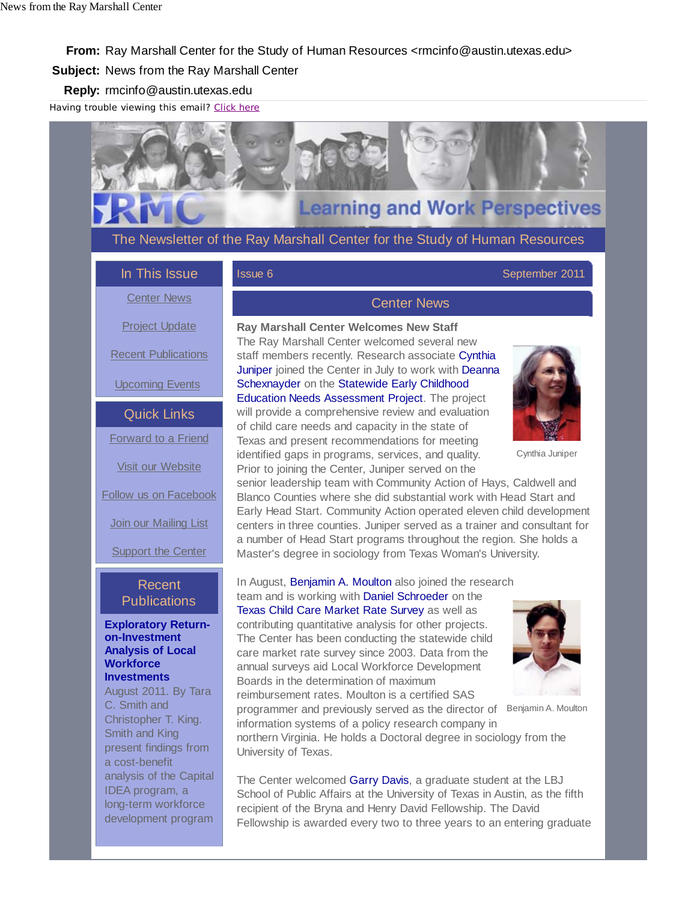# **Learning and Work Perspectives**

The Newsletter of the Ray Marshall Center for the Study of Human Resources

In This Issue

#### Issue 6 September 2011

#### Center News

Project Update

Recent Publications

Upcoming Events

Quick Links Forward to a Friend

Visit our Website

Follow us on Facebook

Join our Mailing List

**Support the Center** 

# Recent **Publications**

#### **Exploratory Returnon-Investment Analysis of Local Workforce Investments**

August 2011. By Tara C. Smith and Christopher T. King. Smith and King present findings from a cost-benefit analysis of the Capital IDEA program, a long-term workforce development program

# Center News

**Ray Marshall Center Welcomes New Staff**  The Ray Marshall Center welcomed several new staff members recently. Research associate Cynthia Juniper joined the Center in July to work with Deanna Schexnayder on the Statewide Early Childhood Education Needs Assessment Project. The project will provide a comprehensive review and evaluation of child care needs and capacity in the state of Texas and present recommendations for meeting identified gaps in programs, services, and quality. Prior to joining the Center, Juniper served on the



Cynthia Juniper

senior leadership team with Community Action of Hays, Caldwell and Blanco Counties where she did substantial work with Head Start and Early Head Start. Community Action operated eleven child development centers in three counties. Juniper served as a trainer and consultant for a number of Head Start programs throughout the region. She holds a Master's degree in sociology from Texas Woman's University.

In August, Benjamin A. Moulton also joined the research team and is working with Daniel Schroeder on the Texas Child Care Market Rate Survey as well as contributing quantitative analysis for other projects. The Center has been conducting the statewide child care market rate survey since 2003. Data from the annual surveys aid Local Workforce Development Boards in the determination of maximum reimbursement rates. Moulton is a certified SAS

programmer and previously served as the director of



Benjamin A. Moulton

information systems of a policy research company in northern Virginia. He holds a Doctoral degree in sociology from the University of Texas.

The Center welcomed Garry Davis, a graduate student at the LBJ School of Public Affairs at the University of Texas in Austin, as the fifth recipient of the Bryna and Henry David Fellowship. The David Fellowship is awarded every two to three years to an entering graduate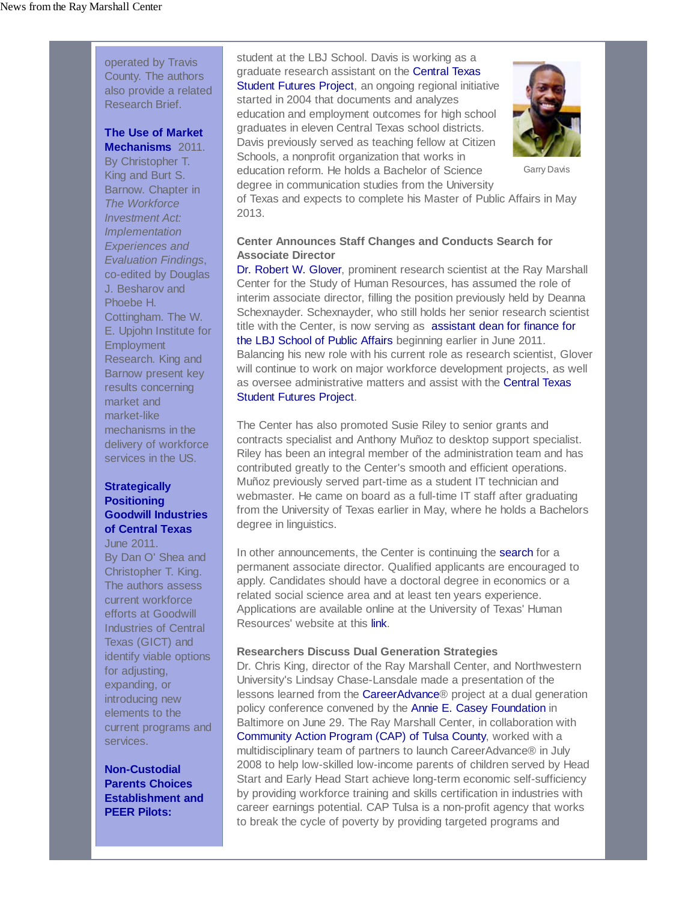operated by Travis County. The authors also provide a related Research Brief.

# **The Use of Market**

**Mechanisms** 2011. By Christopher T. King and Burt S. Barnow. Chapter in *The Workforce Investment Act: Implementation Experiences and Evaluation Findings*, co-edited by Douglas J. Besharov and Phoebe H. Cottingham. The W. E. Upjohn Institute for **Employment** Research. King and Barnow present key results concerning market and market-like mechanisms in the delivery of workforce services in the US.

#### **Strategically Positioning Goodwill Industries of Central Texas**

June 2011. By Dan O' Shea and Christopher T. King. The authors assess current workforce efforts at Goodwill Industries of Central Texas (GICT) and identify viable options for adjusting, expanding, or introducing new elements to the current programs and services.

**Non-Custodial Parents Choices Establishment and PEER Pilots:**

student at the LBJ School. Davis is working as a graduate research assistant on the Central Texas Student Futures Project, an ongoing regional initiative started in 2004 that documents and analyzes education and employment outcomes for high school graduates in eleven Central Texas school districts. Davis previously served as teaching fellow at Citizen Schools, a nonprofit organization that works in education reform. He holds a Bachelor of Science degree in communication studies from the University



Garry Davis

of Texas and expects to complete his Master of Public Affairs in May 2013.

## **Center Announces Staff Changes and Conducts Search for Associate Director**

Dr. Robert W. Glover, prominent research scientist at the Ray Marshall Center for the Study of Human Resources, has assumed the role of interim associate director, filling the position previously held by Deanna Schexnayder. Schexnayder, who still holds her senior research scientist title with the Center, is now serving as assistant dean for finance for the LBJ School of Public Affairs beginning earlier in June 2011. Balancing his new role with his current role as research scientist, Glover will continue to work on major workforce development projects, as well as oversee administrative matters and assist with the Central Texas Student Futures Project.

The Center has also promoted Susie Riley to senior grants and contracts specialist and Anthony Muñoz to desktop support specialist. Riley has been an integral member of the administration team and has contributed greatly to the Center's smooth and efficient operations. Muñoz previously served part-time as a student IT technician and webmaster. He came on board as a full-time IT staff after graduating from the University of Texas earlier in May, where he holds a Bachelors degree in linguistics.

In other announcements, the Center is continuing the search for a permanent associate director. Qualified applicants are encouraged to apply. Candidates should have a doctoral degree in economics or a related social science area and at least ten years experience. Applications are available online at the University of Texas' Human Resources' website at this link.

#### **Researchers Discuss Dual Generation Strategies**

Dr. Chris King, director of the Ray Marshall Center, and Northwestern University's Lindsay Chase-Lansdale made a presentation of the lessons learned from the CareerAdvance® project at a dual generation policy conference convened by the Annie E. Casey Foundation in Baltimore on June 29. The Ray Marshall Center, in collaboration with Community Action Program (CAP) of Tulsa County, worked with a multidisciplinary team of partners to launch CareerAdvance® in July 2008 to help low-skilled low-income parents of children served by Head Start and Early Head Start achieve long-term economic self-sufficiency by providing workforce training and skills certification in industries with career earnings potential. CAP Tulsa is a non-profit agency that works to break the cycle of poverty by providing targeted programs and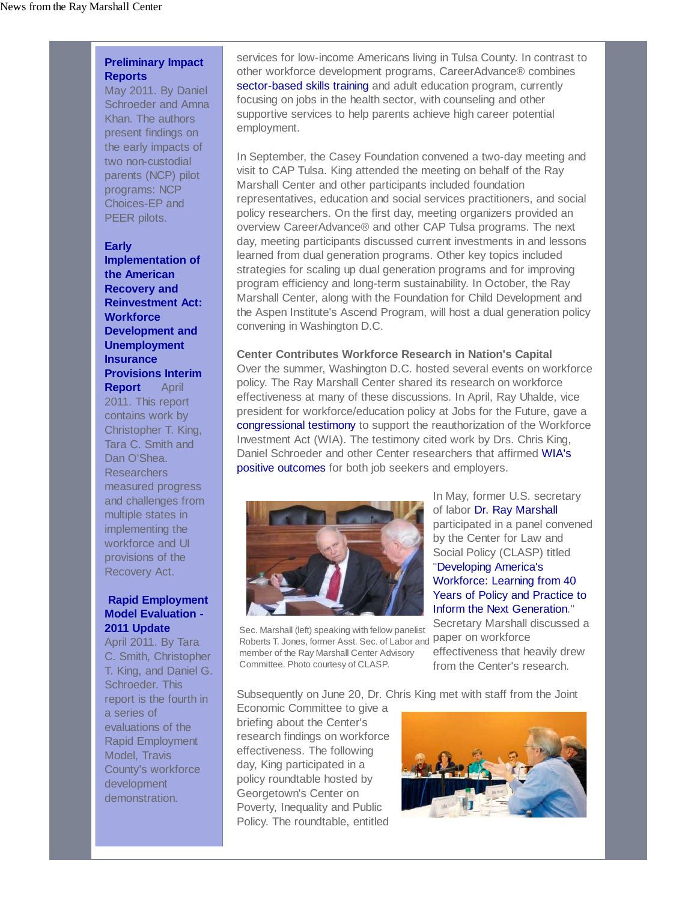## **Preliminary Impact Reports**

May 2011. By Daniel Schroeder and Amna Khan. The authors present findings on the early impacts of two non-custodial parents (NCP) pilot programs: NCP Choices-EP and PEER pilots.

#### **Early**

**Implementation of the American Recovery and Reinvestment Act: Workforce Development and Unemployment Insurance Provisions Interim Report** April 2011. This report contains work by Christopher T. King, Tara C. Smith and Dan O'Shea. Researchers measured progress and challenges from multiple states in implementing the workforce and UI provisions of the Recovery Act.

#### **Rapid Employment Model Evaluation - 2011 Update**

April 2011. By Tara C. Smith, Christopher T. King, and Daniel G. Schroeder. This report is the fourth in a series of evaluations of the Rapid Employment Model, Travis County's workforce development demonstration.

services for low-income Americans living in Tulsa County. In contrast to other workforce development programs, CareerAdvance® combines sector-based skills training and adult education program, currently focusing on jobs in the health sector, with counseling and other supportive services to help parents achieve high career potential employment.

In September, the Casey Foundation convened a two-day meeting and visit to CAP Tulsa. King attended the meeting on behalf of the Ray Marshall Center and other participants included foundation representatives, education and social services practitioners, and social policy researchers. On the first day, meeting organizers provided an overview CareerAdvance® and other CAP Tulsa programs. The next day, meeting participants discussed current investments in and lessons learned from dual generation programs. Other key topics included strategies for scaling up dual generation programs and for improving program efficiency and long-term sustainability. In October, the Ray Marshall Center, along with the Foundation for Child Development and the Aspen Institute's Ascend Program, will host a dual generation policy convening in Washington D.C.

#### **Center Contributes Workforce Research in Nation's Capital**

Over the summer, Washington D.C. hosted several events on workforce policy. The Ray Marshall Center shared its research on workforce effectiveness at many of these discussions. In April, Ray Uhalde, vice president for workforce/education policy at Jobs for the Future, gave a congressional testimony to support the reauthorization of the Workforce Investment Act (WIA). The testimony cited work by Drs. Chris King, Daniel Schroeder and other Center researchers that affirmed WIA's positive outcomes for both job seekers and employers.



Sec. Marshall (left) speaking with fellow panelist Roberts T. Jones, former Asst. Sec. of Labor and paper on workforce member of the Ray Marshall Center Advisory Committee. Photo courtesy of CLASP.

In May, former U.S. secretary of labor Dr. Ray Marshall participated in a panel convened by the Center for Law and Social Policy (CLASP) titled "Developing America's Workforce: Learning from 40 Years of Policy and Practice to Inform the Next Generation."

Secretary Marshall discussed a effectiveness that heavily drew from the Center's research.

Subsequently on June 20, Dr. Chris King met with staff from the Joint

Economic Committee to give a briefing about the Center's research findings on workforce effectiveness. The following day, King participated in a policy roundtable hosted by Georgetown's Center on Poverty, Inequality and Public Policy. The roundtable, entitled

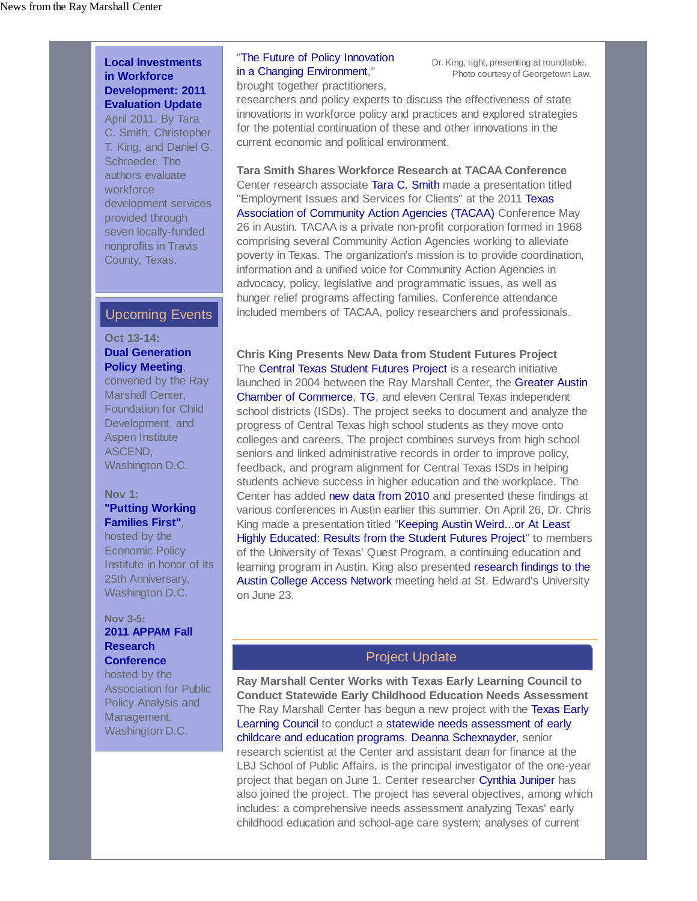#### **Local Investments in Workforce Development: 2011 Evaluation Update**

April 2011. By Tara C. Smith, Christopher T. King, and Daniel G. Schroeder. The authors evaluate workforce development services provided through seven locally-funded nonprofits in Travis County, Texas.

# Upcoming Events

## **Oct 13-14: Dual Generation**

**Policy Meeting**, convened by the Ray

Marshall Center, Foundation for Child Development, and Aspen Institute ASCEND, Washington D.C.

#### **Nov 1: "Putting Working Families First"**,

hosted by the Economic Policy Institute in honor of its 25th Anniversary, Washington D.C.

#### **Nov 3-5: 2011 APPAM Fall Research Conference**

hosted by the Association for Public Policy Analysis and Management, Washington D.C.

# "The Future of Policy Innovation in a Changing Environment,"

brought together practitioners,

Dr. King, right, presenting at roundtable. Photo courtesy of Georgetown Law.

researchers and policy experts to discuss the effectiveness of state innovations in workforce policy and practices and explored strategies for the potential continuation of these and other innovations in the current economic and political environment.

**Tara Smith Shares Workforce Research at TACAA Conference** Center research associate Tara C. Smith made a presentation titled "Employment Issues and Services for Clients" at the 2011 Texas Association of Community Action Agencies (TACAA) Conference May 26 in Austin. TACAA is a private non-profit corporation formed in 1968 comprising several Community Action Agencies working to alleviate poverty in Texas. The organization's mission is to provide coordination, information and a unified voice for Community Action Agencies in advocacy, policy, legislative and programmatic issues, as well as hunger relief programs affecting families. Conference attendance included members of TACAA, policy researchers and professionals.

**Chris King Presents New Data from Student Futures Project** The Central Texas Student Futures Project is a research initiative launched in 2004 between the Ray Marshall Center, the Greater Austin Chamber of Commerce, TG, and eleven Central Texas independent school districts (ISDs). The project seeks to document and analyze the progress of Central Texas high school students as they move onto colleges and careers. The project combines surveys from high school seniors and linked administrative records in order to improve policy, feedback, and program alignment for Central Texas ISDs in helping students achieve success in higher education and the workplace. The Center has added new data from 2010 and presented these findings at various conferences in Austin earlier this summer. On April 26, Dr. Chris King made a presentation titled "Keeping Austin Weird...or At Least Highly Educated: Results from the Student Futures Project" to members of the University of Texas' Quest Program, a continuing education and learning program in Austin. King also presented research findings to the Austin College Access Network meeting held at St. Edward's University on June 23.

# Project Update

**Ray Marshall Center Works with Texas Early Learning Council to Conduct Statewide Early Childhood Education Needs Assessment** The Ray Marshall Center has begun a new project with the Texas Early Learning Council to conduct a statewide needs assessment of early childcare and education programs. Deanna Schexnayder, senior research scientist at the Center and assistant dean for finance at the LBJ School of Public Affairs, is the principal investigator of the one-year project that began on June 1. Center researcher Cynthia Juniper has also joined the project. The project has several objectives, among which includes: a comprehensive needs assessment analyzing Texas' early childhood education and school-age care system; analyses of current